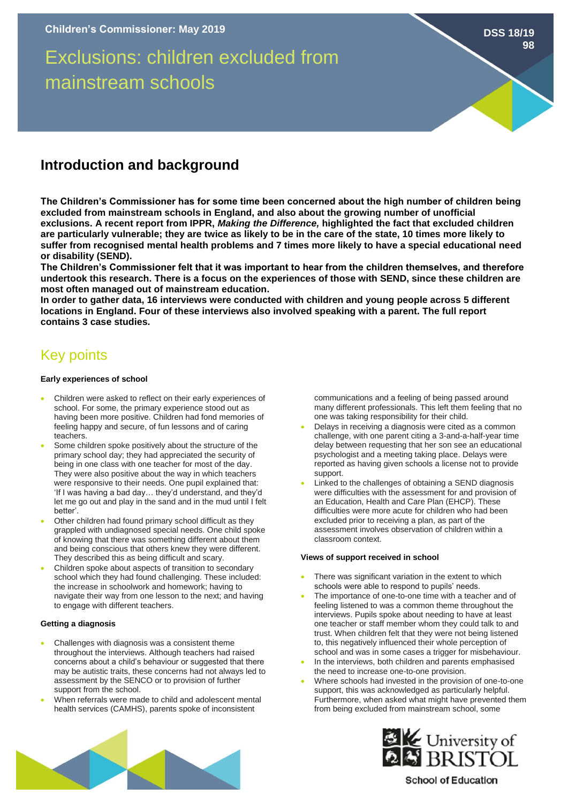Exclusions: children excluded from mainstream schools

# **Introduction and background**

**The Children's Commissioner has for some time been concerned about the high number of children being excluded from mainstream schools in England, and also about the growing number of unofficial exclusions. A recent report from IPPR,** *Making the Difference,* **highlighted the fact that excluded children are particularly vulnerable; they are twice as likely to be in the care of the state, 10 times more likely to suffer from recognised mental health problems and 7 times more likely to have a special educational need or disability (SEND).** 

**The Children's Commissioner felt that it was important to hear from the children themselves, and therefore undertook this research. There is a focus on the experiences of those with SEND, since these children are most often managed out of mainstream education.**

**In order to gather data, 16 interviews were conducted with children and young people across 5 different locations in England. Four of these interviews also involved speaking with a parent. The full report contains 3 case studies.** 

# Key points

#### **Early experiences of school**

- Children were asked to reflect on their early experiences of school. For some, the primary experience stood out as having been more positive. Children had fond memories of feeling happy and secure, of fun lessons and of caring teachers.
- Some children spoke positively about the structure of the primary school day; they had appreciated the security of being in one class with one teacher for most of the day. They were also positive about the way in which teachers were responsive to their needs. One pupil explained that: 'If I was having a bad day… they'd understand, and they'd let me go out and play in the sand and in the mud until I felt better'.
- Other children had found primary school difficult as they grappled with undiagnosed special needs. One child spoke of knowing that there was something different about them and being conscious that others knew they were different. They described this as being difficult and scary.
- Children spoke about aspects of transition to secondary school which they had found challenging. These included: the increase in schoolwork and homework; having to navigate their way from one lesson to the next; and having to engage with different teachers.

### **Getting a diagnosis**

- Challenges with diagnosis was a consistent theme throughout the interviews. Although teachers had raised concerns about a child's behaviour or suggested that there may be autistic traits, these concerns had not always led to assessment by the SENCO or to provision of further support from the school.
- When referrals were made to child and adolescent mental health services (CAMHS), parents spoke of inconsistent

communications and a feeling of being passed around many different professionals. This left them feeling that no one was taking responsibility for their child.

**DSS 18/19**

**98**

- Delays in receiving a diagnosis were cited as a common challenge, with one parent citing a 3-and-a-half-year time delay between requesting that her son see an educational psychologist and a meeting taking place. Delays were reported as having given schools a license not to provide support.
- Linked to the challenges of obtaining a SEND diagnosis were difficulties with the assessment for and provision of an Education, Health and Care Plan (EHCP). These difficulties were more acute for children who had been excluded prior to receiving a plan, as part of the assessment involves observation of children within a classroom context.

#### **Views of support received in school**

- There was significant variation in the extent to which schools were able to respond to pupils' needs.
- The importance of one-to-one time with a teacher and of feeling listened to was a common theme throughout the interviews. Pupils spoke about needing to have at least one teacher or staff member whom they could talk to and trust. When children felt that they were not being listened to, this negatively influenced their whole perception of school and was in some cases a trigger for misbehaviour.
- In the interviews, both children and parents emphasised the need to increase one-to-one provision.
- Where schools had invested in the provision of one-to-one support, this was acknowledged as particularly helpful. Furthermore, when asked what might have prevented them from being excluded from mainstream school, some





## **School of Education**